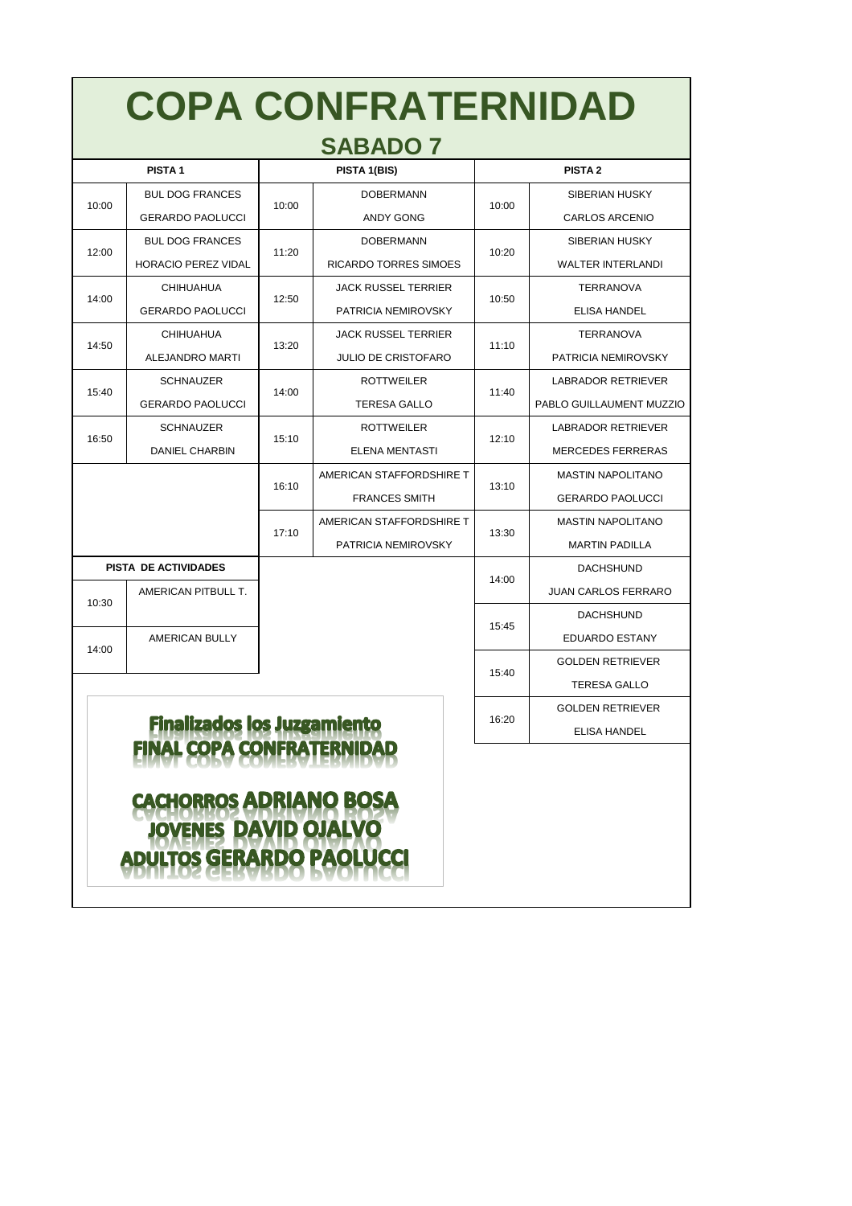| <b>PISTA1</b>                      |                                  | PISTA 1(BIS) |                              | <b>PISTA 2</b> |                            |  |
|------------------------------------|----------------------------------|--------------|------------------------------|----------------|----------------------------|--|
| 10:00                              | <b>BUL DOG FRANCES</b>           |              | <b>DOBERMANN</b>             | 10:00          | <b>SIBERIAN HUSKY</b>      |  |
|                                    | <b>GERARDO PAOLUCCI</b>          | 10:00        | <b>ANDY GONG</b>             |                | <b>CARLOS ARCENIO</b>      |  |
| 12:00                              | <b>BUL DOG FRANCES</b>           |              | <b>DOBERMANN</b>             | 10:20          | <b>SIBERIAN HUSKY</b>      |  |
|                                    | <b>HORACIO PEREZ VIDAL</b>       | 11:20        | <b>RICARDO TORRES SIMOES</b> |                | <b>WALTER INTERLANDI</b>   |  |
| 14:00                              | <b>CHIHUAHUA</b>                 |              | <b>JACK RUSSEL TERRIER</b>   | 10:50          | <b>TERRANOVA</b>           |  |
|                                    | <b>GERARDO PAOLUCCI</b>          | 12:50        | PATRICIA NEMIROVSKY          |                | <b>ELISA HANDEL</b>        |  |
| 14:50                              | <b>CHIHUAHUA</b>                 |              | <b>JACK RUSSEL TERRIER</b>   | 11:10          | <b>TERRANOVA</b>           |  |
|                                    | <b>ALEJANDRO MARTI</b>           | 13:20        | <b>JULIO DE CRISTOFARO</b>   |                | <b>PATRICIA NEMIROVSKY</b> |  |
| 15:40                              | <b>SCHNAUZER</b>                 | 14:00        | <b>ROTTWEILER</b>            | 11:40          | <b>LABRADOR RETRIEVER</b>  |  |
|                                    | <b>GERARDO PAOLUCCI</b>          |              | <b>TERESA GALLO</b>          |                | PABLO GUILLAUMENT MUZZIO   |  |
| 16:50                              | <b>SCHNAUZER</b>                 | 15:10        | <b>ROTTWEILER</b>            | 12:10          | <b>LABRADOR RETRIEVER</b>  |  |
|                                    | <b>DANIEL CHARBIN</b>            |              | <b>ELENA MENTASTI</b>        |                | <b>MERCEDES FERRERAS</b>   |  |
|                                    |                                  | 16:10        | AMERICAN STAFFORDSHIRE T     | 13:10          | <b>MASTIN NAPOLITANO</b>   |  |
|                                    |                                  |              | <b>FRANCES SMITH</b>         |                | <b>GERARDO PAOLUCCI</b>    |  |
|                                    |                                  |              | AMERICAN STAFFORDSHIRE T     | 13:30          | <b>MASTIN NAPOLITANO</b>   |  |
|                                    |                                  | 17:10        | <b>PATRICIA NEMIROVSKY</b>   |                | <b>MARTIN PADILLA</b>      |  |
| <b>PISTA DE ACTIVIDADES</b>        |                                  |              |                              | 14:00          | <b>DACHSHUND</b>           |  |
| 10:30                              | AMERICAN PITBULL T.              |              |                              |                | <b>JUAN CARLOS FERRARO</b> |  |
|                                    |                                  |              |                              | 15:45          | <b>DACHSHUND</b>           |  |
| 14:00                              | <b>AMERICAN BULLY</b>            |              |                              | 15:40          | <b>EDUARDO ESTANY</b>      |  |
|                                    |                                  |              |                              |                | <b>GOLDEN RETRIEVER</b>    |  |
|                                    |                                  |              |                              |                | <b>TERESA GALLO</b>        |  |
| <b>Finalizados los Juzgamiento</b> |                                  |              |                              |                | <b>GOLDEN RETRIEVER</b>    |  |
|                                    |                                  |              |                              |                | <b>ELISA HANDEL</b>        |  |
|                                    | <b>FINAL COPA CONFRATERNIDAD</b> |              |                              |                |                            |  |

### EINVI CUDV CUMEDVLEDVILVU CACHORROS ADRIANO BOSA JOVENES DAVID OJALVO<br>ADULTOS GERARDO PAOLUCCI

# **COPA CONFRATERNIDAD**

### **SABADO 7**